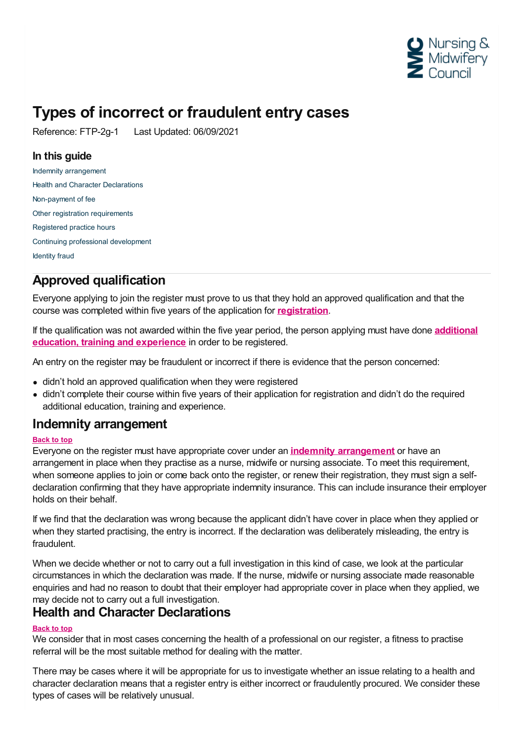

# **Types of incorrect or fraudulent entry cases**

Reference: FTP-2g-1 Last Updated: 06/09/2021

# **In this guide**

Indemnity [arrangement](#page-0-0) Health and Character [Declarations](#page-0-1) [Non-payment](#page-1-0) of fee Other registration [requirements](#page-1-1) [Registered](#page-1-2) practice hours Continuing professional [development](#page-1-3) [Identity](#page-1-4) fraud

# **Approved qualification**

Everyone applying to join the register must prove to us that they hold an approved qualification and that the course was completed within five years of the application for **[registration](https://www.nmc.org.uk/secure/ui/CMS/~/link/8c394ff497584157b118c34950ed5e02.aspx)**.

If the [qualification](https://www.nmc.org.uk/globalassets/sitedocuments/registration/registering-more-than-five-years-after-qualifying.pdf) was not awarded within the five year period, the person applying must have done **additional education, training and experience** in order to be registered.

An entry on the register may be fraudulent or incorrect if there is evidence that the person concerned:

- didn't hold an approved qualification when they were registered
- didn't complete their course within five years of their application for registration and didn't do the required additional education, training and experience.

# <span id="page-0-0"></span>**Indemnity arrangement**

## **Back to top**

Everyone on the register must have appropriate cover under an **indemnity [arrangement](https://www.nmc.org.uk/registration/joining-the-register/professional-indemnity-arrangement/)** or have an arrangement in place when they practise as a nurse, midwife or nursing associate. To meet this requirement, when someone applies to join or come back onto the register, or renew their registration, they must sign a selfdeclaration confirming that they have appropriate indemnity insurance. This can include insurance their employer holds on their behalf.

If we find that the declaration was wrong because the applicant didn't have cover in place when they applied or when they started practising, the entry is incorrect. If the declaration was deliberately misleading, the entry is fraudulent.

When we decide whether or not to carry out a full investigation in this kind of case, we look at the particular circumstances in which the declaration was made. If the nurse, midwife or nursing associate made reasonable enquiries and had no reason to doubt that their employer had appropriate cover in place when they applied, we may decide not to carry out a full investigation.

# <span id="page-0-1"></span>**Health and Character Declarations**

## **Back to top**

We consider that in most cases concerning the health of a professional on our register, a fitness to practise referral will be the most suitable method for dealing with the matter.

There may be cases where it will be appropriate for us to investigate whether an issue relating to a health and character declaration means that a register entry is either incorrect or fraudulently procured. We consider these types of cases will be relatively unusual.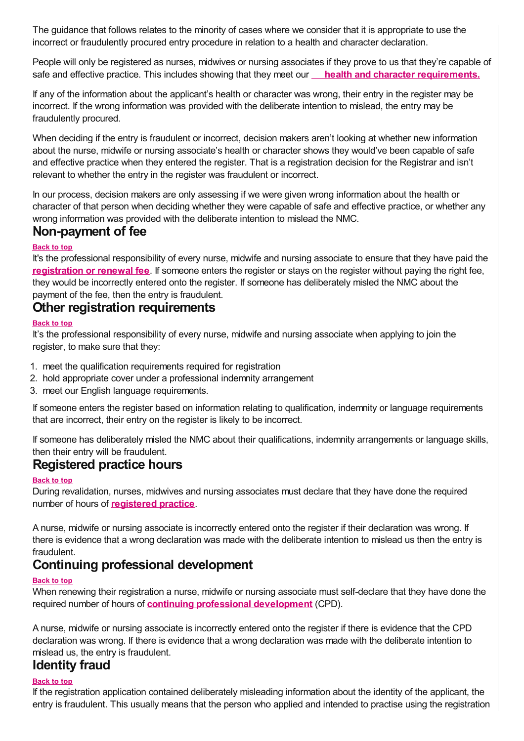The guidance that follows relates to the minority of cases where we consider that it is appropriate to use the incorrect or fraudulently procured entry procedure in relation to a health and character declaration.

People will only be registered as nurses, midwives or nursing associates if they prove to us that they're capable of safe and effective practice. This includes showing that they meet our **health and character [requirements.](https://www.nmc.org.uk/globalassets/sitedocuments/registration/character-and-health-decision-making-guidance.pdf)**

If any of the information about the applicant's health or character was wrong, their entry in the register may be incorrect. If the wrong information was provided with the deliberate intention to mislead, the entry may be fraudulently procured.

When deciding if the entry is fraudulent or incorrect, decision makers aren't looking at whether new information about the nurse, midwife or nursing associate's health or character shows they would've been capable of safe and effective practice when they entered the register. That is a registration decision for the Registrar and isn't relevant to whether the entry in the register was fraudulent or incorrect.

In our process, decision makers are only assessing if we were given wrong information about the health or character of that person when deciding whether they were capable of safe and effective practice, or whether any wrong information was provided with the deliberate intention to mislead the NMC.

# <span id="page-1-0"></span>**Non-payment of fee**

## **Back to top**

It's the professional responsibility of every nurse, midwife and nursing associate to ensure that they have paid the **[registration](https://www.nmc.org.uk/registration/your-registration/paying-your-fee/) or renewal fee**. If someone enters the register or stays on the register without paying the right fee, they would be incorrectly entered onto the register. If someone has deliberately misled the NMC about the payment of the fee, then the entry is fraudulent.

## <span id="page-1-1"></span>**Other registration requirements**

## **Back to top**

It's the professional responsibility of every nurse, midwife and nursing associate when applying to join the register, to make sure that they:

- 1. meet the qualification requirements required for registration
- 2. hold appropriate cover under a professional indemnity arrangement
- 3. meet our English language requirements.

If someone enters the register based on information relating to qualification, indemnity or language requirements that are incorrect, their entry on the register is likely to be incorrect.

If someone has deliberately misled the NMC about their qualifications, indemnity arrangements or language skills, then their entry will be fraudulent.

## <span id="page-1-2"></span>**Registered practice hours**

## **Back to top**

During revalidation, nurses, midwives and nursing associates must declare that they have done the required number of hours of **[registered](http://revalidation.nmc.org.uk/what-you-need-to-do/practice-hours) practice**.

A nurse, midwife or nursing associate is incorrectly entered onto the register if their declaration was wrong. If there is evidence that a wrong declaration was made with the deliberate intention to mislead us then the entry is fraudulent.

# <span id="page-1-3"></span>**Continuing professional development**

## **Back to top**

When renewing their registration a nurse, midwife or nursing associate must self-declare that they have done the required number of hours of **continuing professional [development](http://revalidation.nmc.org.uk/what-you-need-to-do/continuing-professional-development/)** (CPD).

A nurse, midwife or nursing associate is incorrectly entered onto the register if there is evidence that the CPD declaration was wrong. If there is evidence that a wrong declaration was made with the deliberate intention to mislead us, the entry is fraudulent.

# <span id="page-1-4"></span>**Identity fraud**

## **Back to top**

If the registration application contained deliberately misleading information about the identity of the applicant, the entry is fraudulent. This usually means that the person who applied and intended to practise using the registration